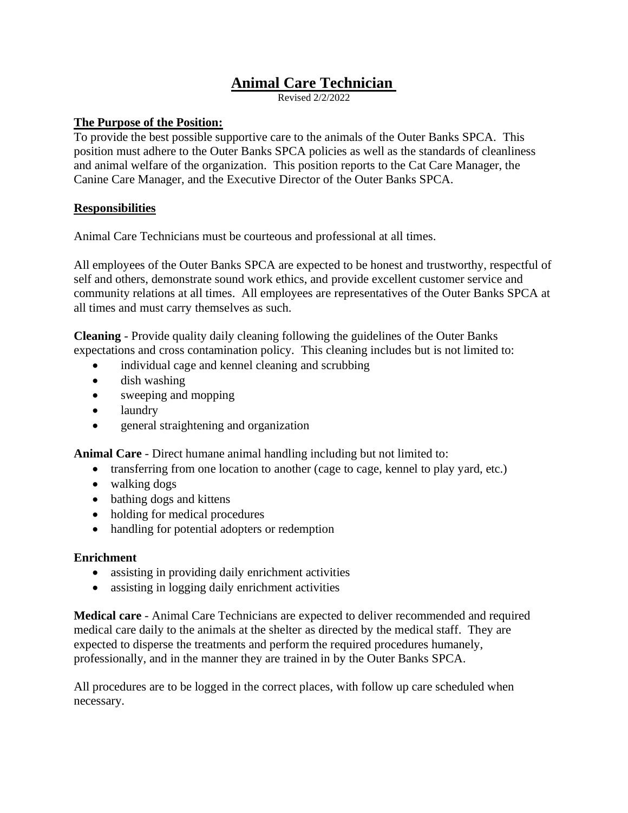# **Animal Care Technician**

Revised  $2/2/2022$ 

#### **The Purpose of the Position:**

To provide the best possible supportive care to the animals of the Outer Banks SPCA. This position must adhere to the Outer Banks SPCA policies as well as the standards of cleanliness and animal welfare of the organization. This position reports to the Cat Care Manager, the Canine Care Manager, and the Executive Director of the Outer Banks SPCA.

## **Responsibilities**

Animal Care Technicians must be courteous and professional at all times.

All employees of the Outer Banks SPCA are expected to be honest and trustworthy, respectful of self and others, demonstrate sound work ethics, and provide excellent customer service and community relations at all times. All employees are representatives of the Outer Banks SPCA at all times and must carry themselves as such.

**Cleaning** - Provide quality daily cleaning following the guidelines of the Outer Banks expectations and cross contamination policy. This cleaning includes but is not limited to:

- individual cage and kennel cleaning and scrubbing
- dish washing
- sweeping and mopping
- laundry
- general straightening and organization

**Animal Care** - Direct humane animal handling including but not limited to:

- transferring from one location to another (cage to cage, kennel to play yard, etc.)
- walking dogs
- bathing dogs and kittens
- holding for medical procedures
- handling for potential adopters or redemption

## **Enrichment**

- assisting in providing daily enrichment activities
- assisting in logging daily enrichment activities

**Medical care** - Animal Care Technicians are expected to deliver recommended and required medical care daily to the animals at the shelter as directed by the medical staff. They are expected to disperse the treatments and perform the required procedures humanely, professionally, and in the manner they are trained in by the Outer Banks SPCA.

All procedures are to be logged in the correct places, with follow up care scheduled when necessary.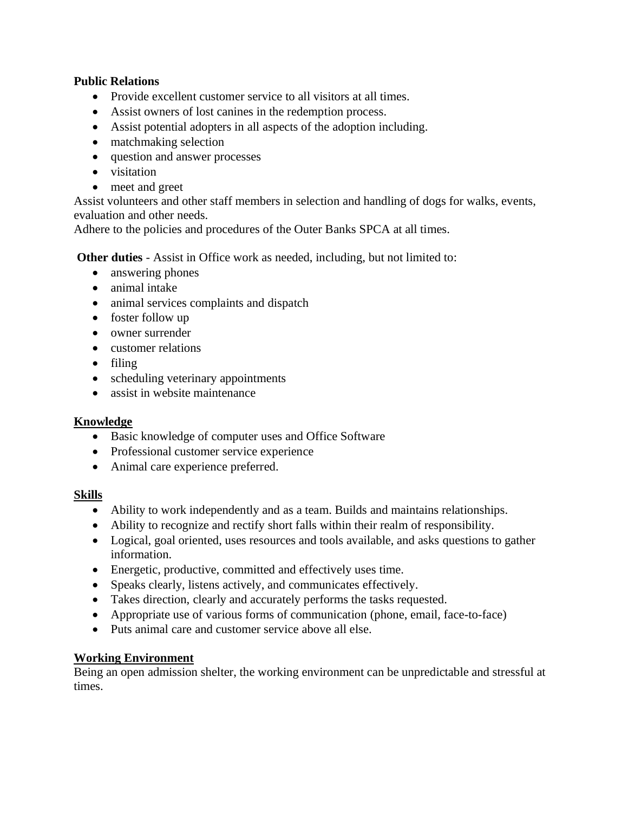## **Public Relations**

- Provide excellent customer service to all visitors at all times.
- Assist owners of lost canines in the redemption process.
- Assist potential adopters in all aspects of the adoption including.
- matchmaking selection
- question and answer processes
- visitation
- meet and greet

Assist volunteers and other staff members in selection and handling of dogs for walks, events, evaluation and other needs.

Adhere to the policies and procedures of the Outer Banks SPCA at all times.

**Other duties** - Assist in Office work as needed, including, but not limited to:

- answering phones
- animal intake
- animal services complaints and dispatch
- foster follow up
- owner surrender
- customer relations
- filing
- scheduling veterinary appointments
- assist in website maintenance

## **Knowledge**

- Basic knowledge of computer uses and Office Software
- Professional customer service experience
- Animal care experience preferred.

## **Skills**

- Ability to work independently and as a team. Builds and maintains relationships.
- Ability to recognize and rectify short falls within their realm of responsibility.
- Logical, goal oriented, uses resources and tools available, and asks questions to gather information.
- Energetic, productive, committed and effectively uses time.
- Speaks clearly, listens actively, and communicates effectively.
- Takes direction, clearly and accurately performs the tasks requested.
- Appropriate use of various forms of communication (phone, email, face-to-face)
- Puts animal care and customer service above all else.

## **Working Environment**

Being an open admission shelter, the working environment can be unpredictable and stressful at times.